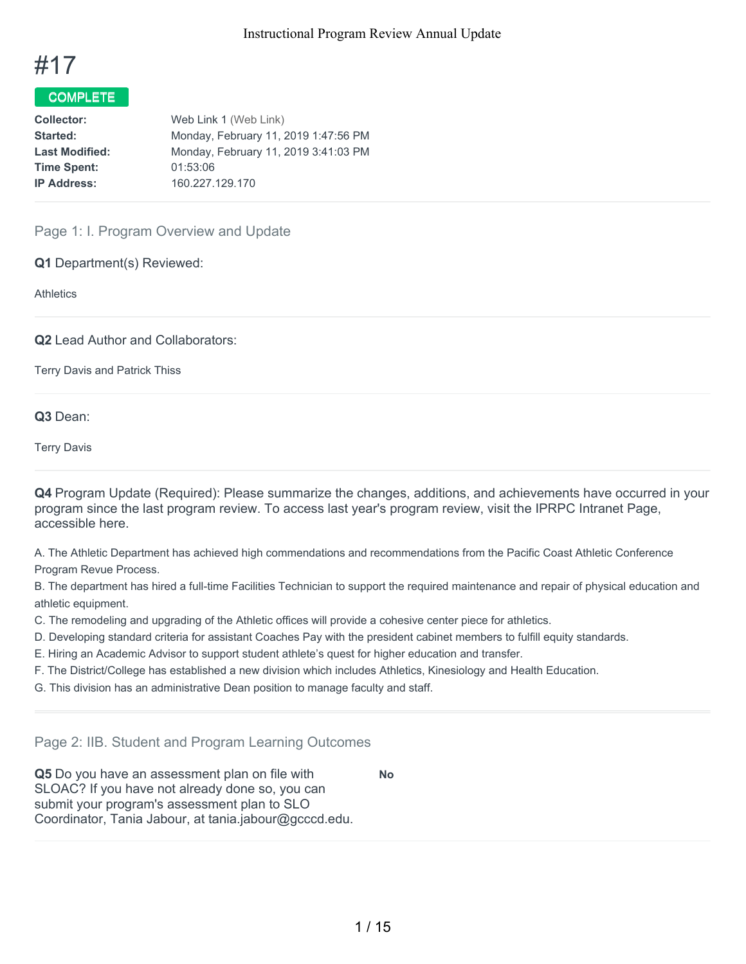

# COMPLETE

| Web Link 1 (Web Link)                |
|--------------------------------------|
| Monday, February 11, 2019 1:47:56 PM |
| Monday, February 11, 2019 3:41:03 PM |
| 01:53:06                             |
| 160.227.129.170                      |
|                                      |

# Page 1: I. Program Overview and Update

**Q1** Department(s) Reviewed:

**Athletics** 

**Q2** Lead Author and Collaborators:

Terry Davis and Patrick Thiss

## **Q3** Dean:

Terry Davis

**Q4** Program Update (Required): Please summarize the changes, additions, and achievements have occurred in your program since the last program review. To access last year's program review, visit the IPRPC Intranet Page, accessible here.

A. The Athletic Department has achieved high commendations and recommendations from the Pacific Coast Athletic Conference Program Revue Process.

B. The department has hired a full-time Facilities Technician to support the required maintenance and repair of physical education and athletic equipment.

- C. The remodeling and upgrading of the Athletic offices will provide a cohesive center piece for athletics.
- D. Developing standard criteria for assistant Coaches Pay with the president cabinet members to fulfill equity standards.
- E. Hiring an Academic Advisor to support student athlete's quest for higher education and transfer.
- F. The District/College has established a new division which includes Athletics, Kinesiology and Health Education.

G. This division has an administrative Dean position to manage faculty and staff.

Page 2: IIB. Student and Program Learning Outcomes

**Q5** Do you have an assessment plan on file with SLOAC? If you have not already done so, you can submit your program's assessment plan to SLO Coordinator, Tania Jabour, at tania.jabour@gcccd.edu. **No**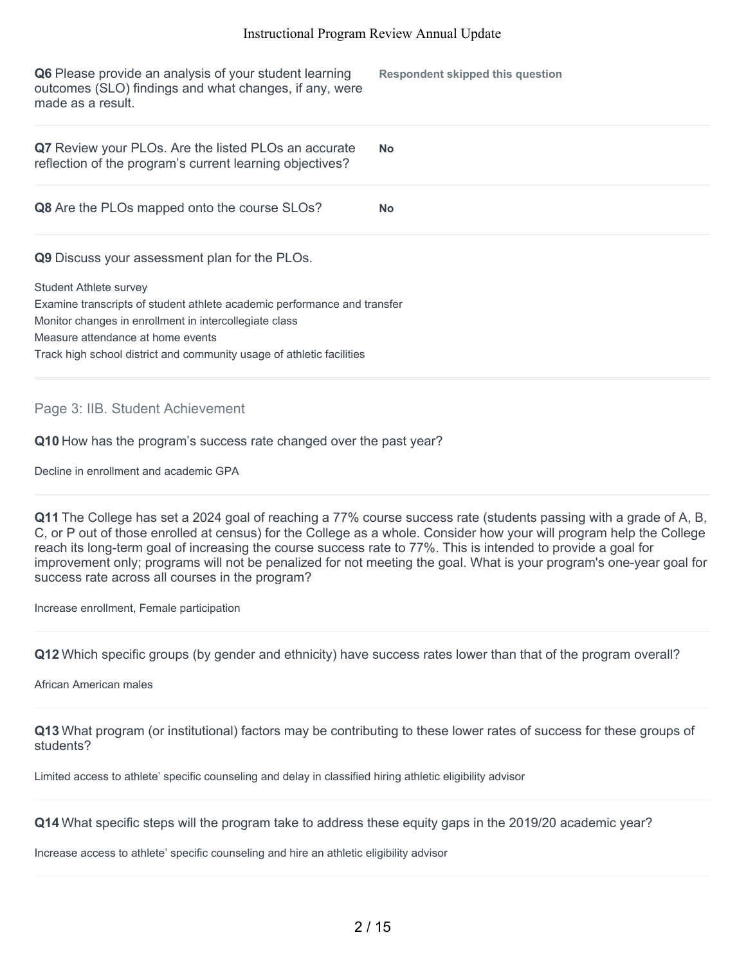**Q6** Please provide an analysis of your student learning outcomes (SLO) findings and what changes, if any, were made as a result. **Respondent skipped this question Q7** Review your PLOs. Are the listed PLOs an accurate reflection of the program's current learning objectives? **No Q8** Are the PLOs mapped onto the course SLOs? **No Q9** Discuss your assessment plan for the PLOs. Student Athlete survey Examine transcripts of student athlete academic performance and transfer Monitor changes in enrollment in intercollegiate class Measure attendance at home events Track high school district and community usage of athletic facilities

Page 3: IIB. Student Achievement

**Q10** How has the program's success rate changed over the past year?

Decline in enrollment and academic GPA

**Q11** The College has set a 2024 goal of reaching a 77% course success rate (students passing with a grade of A, B, C, or P out of those enrolled at census) for the College as a whole. Consider how your will program help the College reach its long-term goal of increasing the course success rate to 77%. This is intended to provide a goal for improvement only; programs will not be penalized for not meeting the goal. What is your program's one-year goal for success rate across all courses in the program?

Increase enrollment, Female participation

**Q12** Which specific groups (by gender and ethnicity) have success rates lower than that of the program overall?

African American males

**Q13** What program (or institutional) factors may be contributing to these lower rates of success for these groups of students?

Limited access to athlete' specific counseling and delay in classified hiring athletic eligibility advisor

**Q14** What specific steps will the program take to address these equity gaps in the 2019/20 academic year?

Increase access to athlete' specific counseling and hire an athletic eligibility advisor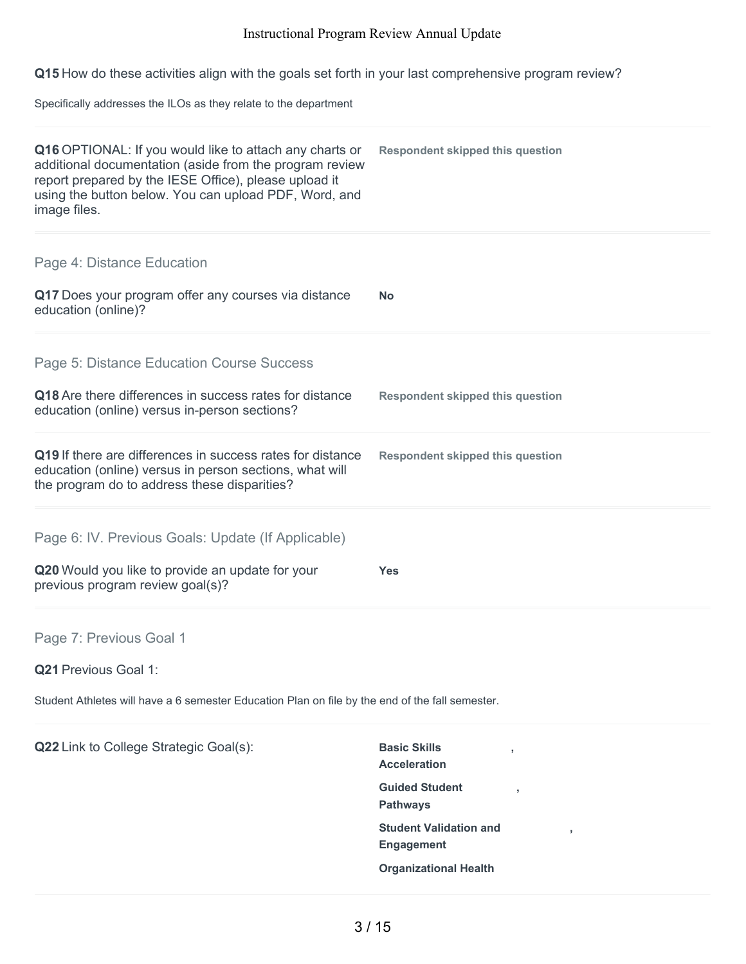**Q15** How do these activities align with the goals set forth in your last comprehensive program review?

Specifically addresses the ILOs as they relate to the department

| Q16 OPTIONAL: If you would like to attach any charts or<br>additional documentation (aside from the program review<br>report prepared by the IESE Office), please upload it<br>using the button below. You can upload PDF, Word, and<br>image files. | <b>Respondent skipped this question</b>            |
|------------------------------------------------------------------------------------------------------------------------------------------------------------------------------------------------------------------------------------------------------|----------------------------------------------------|
| Page 4: Distance Education                                                                                                                                                                                                                           |                                                    |
| Q17 Does your program offer any courses via distance<br>education (online)?                                                                                                                                                                          | <b>No</b>                                          |
| Page 5: Distance Education Course Success                                                                                                                                                                                                            |                                                    |
| Q18 Are there differences in success rates for distance<br>education (online) versus in-person sections?                                                                                                                                             | <b>Respondent skipped this question</b>            |
| Q19 If there are differences in success rates for distance<br>education (online) versus in person sections, what will<br>the program do to address these disparities?                                                                                | <b>Respondent skipped this question</b>            |
| Page 6: IV. Previous Goals: Update (If Applicable)                                                                                                                                                                                                   |                                                    |
| Q20 Would you like to provide an update for your<br>previous program review goal(s)?                                                                                                                                                                 | <b>Yes</b>                                         |
| Page 7: Previous Goal 1                                                                                                                                                                                                                              |                                                    |
| Q21 Previous Goal 1:                                                                                                                                                                                                                                 |                                                    |
| Student Athletes will have a 6 semester Education Plan on file by the end of the fall semester.                                                                                                                                                      |                                                    |
| Q22 Link to College Strategic Goal(s):                                                                                                                                                                                                               | <b>Basic Skills</b><br><b>Acceleration</b>         |
|                                                                                                                                                                                                                                                      | <b>Guided Student</b><br><b>Pathways</b>           |
|                                                                                                                                                                                                                                                      | <b>Student Validation and</b><br><b>Engagement</b> |
|                                                                                                                                                                                                                                                      | <b>Organizational Health</b>                       |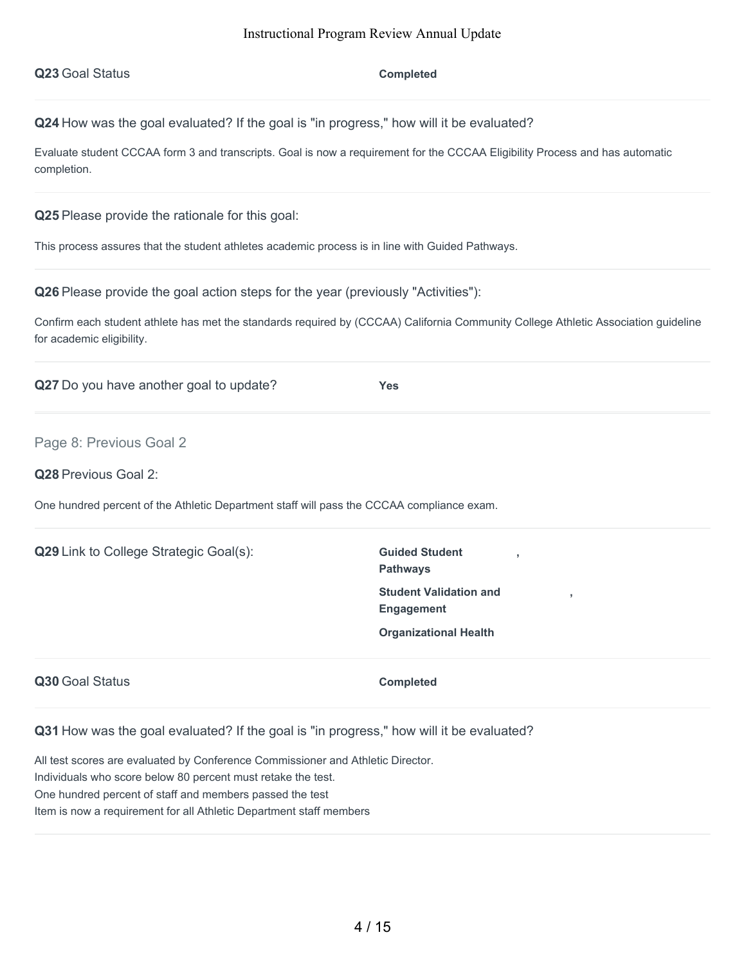$Completed$ 

**Q24** How was the goal evaluated? If the goal is "in progress," how will it be evaluated?

Evaluate student CCCAA form 3 and transcripts. Goal is now a requirement for the CCCAA Eligibility Process and has automatic completion.

**Q25** Please provide the rationale for this goal:

This process assures that the student athletes academic process is in line with Guided Pathways.

**Q26** Please provide the goal action steps for the year (previously "Activities"):

Confirm each student athlete has met the standards required by (CCCAA) California Community College Athletic Association guideline for academic eligibility.

**Q27** Do you have another goal to update? **Yes**

Page 8: Previous Goal 2

**Q28** Previous Goal 2:

One hundred percent of the Athletic Department staff will pass the CCCAA compliance exam.

**Q29** Link to College Strategic Goal(s): **Guided Student** 

**Pathways Student Validation and Engagement Organizational Health**

**,**

**,**

**Q30** Goal Status **Completed** 

**Q31** How was the goal evaluated? If the goal is "in progress," how will it be evaluated?

All test scores are evaluated by Conference Commissioner and Athletic Director. Individuals who score below 80 percent must retake the test. One hundred percent of staff and members passed the test Item is now a requirement for all Athletic Department staff members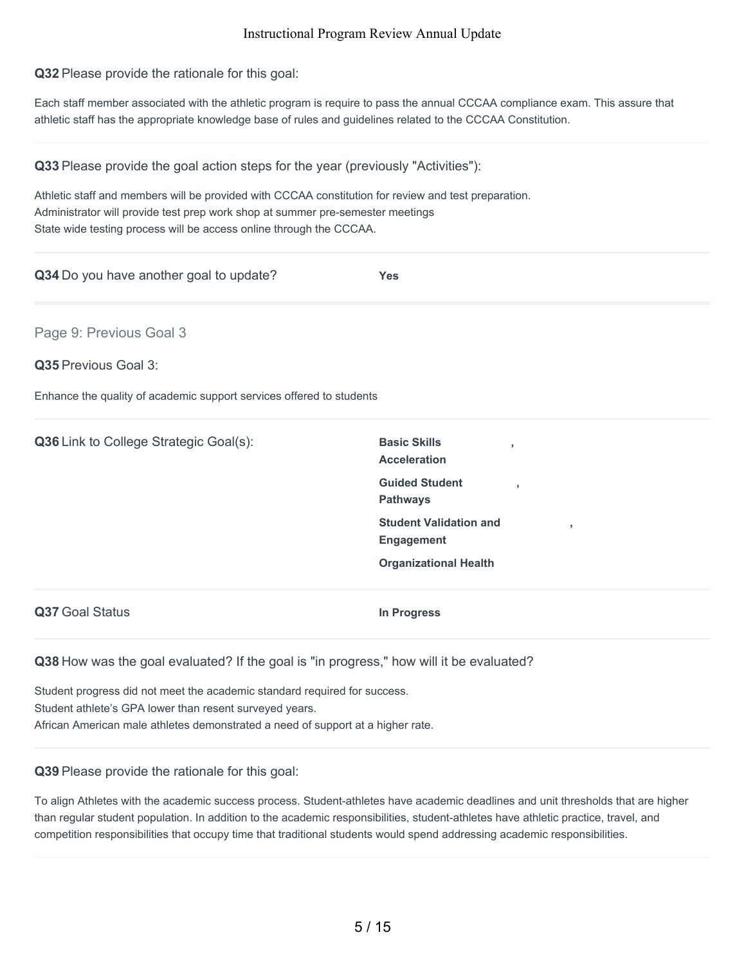**Q32** Please provide the rationale for this goal:

Each staff member associated with the athletic program is require to pass the annual CCCAA compliance exam. This assure that athletic staff has the appropriate knowledge base of rules and guidelines related to the CCCAA Constitution.

| Q33 Please provide the goal action steps for the year (previously "Activities"):                     |                                                              |
|------------------------------------------------------------------------------------------------------|--------------------------------------------------------------|
| Athletic staff and members will be provided with CCCAA constitution for review and test preparation. |                                                              |
| Administrator will provide test prep work shop at summer pre-semester meetings                       |                                                              |
| State wide testing process will be access online through the CCCAA.                                  |                                                              |
| Q34 Do you have another goal to update?                                                              | <b>Yes</b>                                                   |
| Page 9: Previous Goal 3                                                                              |                                                              |
| Q35 Previous Goal 3:                                                                                 |                                                              |
| Enhance the quality of academic support services offered to students                                 |                                                              |
| Q36 Link to College Strategic Goal(s):                                                               | <b>Basic Skills</b><br>$\overline{1}$<br><b>Acceleration</b> |
|                                                                                                      | <b>Guided Student</b><br><b>Pathways</b>                     |
|                                                                                                      | <b>Student Validation and</b><br>y<br><b>Engagement</b>      |
|                                                                                                      | <b>Organizational Health</b>                                 |
| Q37 Goal Status                                                                                      | <b>In Progress</b>                                           |
| Q38 How was the goal evaluated? If the goal is "in progress," how will it be evaluated?              |                                                              |

Student progress did not meet the academic standard required for success. Student athlete's GPA lower than resent surveyed years. African American male athletes demonstrated a need of support at a higher rate.

## **Q39** Please provide the rationale for this goal:

To align Athletes with the academic success process. Student-athletes have academic deadlines and unit thresholds that are higher than regular student population. In addition to the academic responsibilities, student-athletes have athletic practice, travel, and competition responsibilities that occupy time that traditional students would spend addressing academic responsibilities.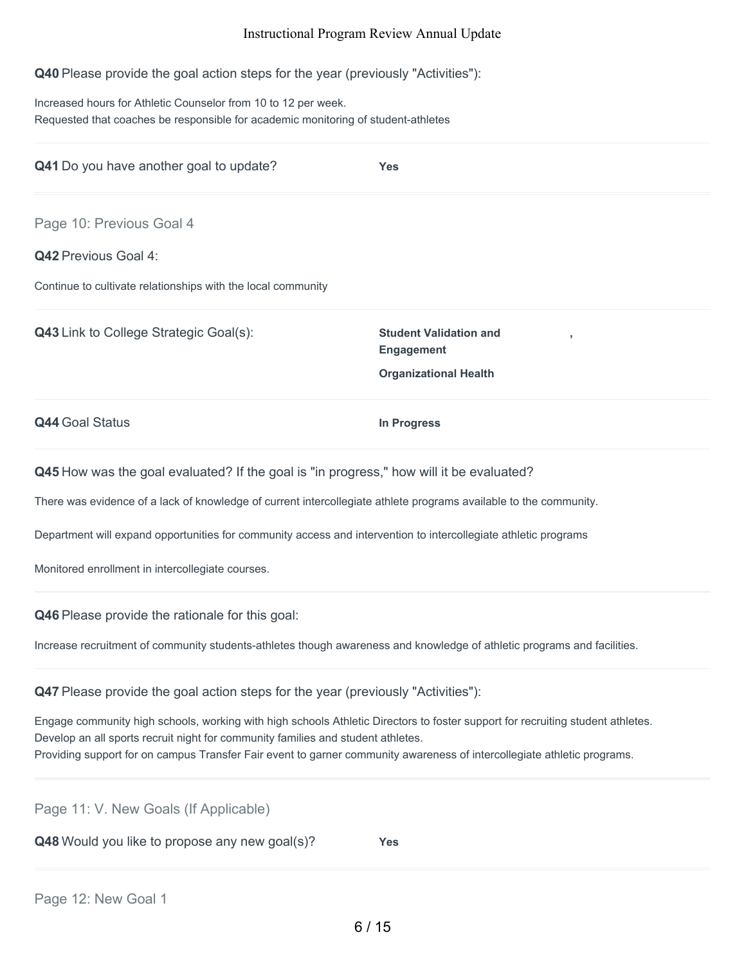**Q40** Please provide the goal action steps for the year (previously "Activities"):

Increased hours for Athletic Counselor from 10 to 12 per week. Requested that coaches be responsible for academic monitoring of student-athletes

| Q41 Do you have another goal to update?                                                                                                                                                                     | Yes                                                                                |  |
|-------------------------------------------------------------------------------------------------------------------------------------------------------------------------------------------------------------|------------------------------------------------------------------------------------|--|
| Page 10: Previous Goal 4                                                                                                                                                                                    |                                                                                    |  |
| <b>Q42 Previous Goal 4:</b>                                                                                                                                                                                 |                                                                                    |  |
| Continue to cultivate relationships with the local community                                                                                                                                                |                                                                                    |  |
| <b>Q43</b> Link to College Strategic Goal(s):                                                                                                                                                               | <b>Student Validation and</b><br><b>Engagement</b><br><b>Organizational Health</b> |  |
| <b>Q44 Goal Status</b>                                                                                                                                                                                      | In Progress                                                                        |  |
| Q45 How was the goal evaluated? If the goal is "in progress," how will it be evaluated?                                                                                                                     |                                                                                    |  |
| There was evidence of a lack of knowledge of current intercollegiate athlete programs available to the community.                                                                                           |                                                                                    |  |
| Department will expand opportunities for community access and intervention to intercollegiate athletic programs                                                                                             |                                                                                    |  |
| Monitored enrollment in intercollegiate courses.                                                                                                                                                            |                                                                                    |  |
| Q46 Please provide the rationale for this goal:                                                                                                                                                             |                                                                                    |  |
| Increase recruitment of community students-athletes though awareness and knowledge of athletic programs and facilities.                                                                                     |                                                                                    |  |
| Q47 Please provide the goal action steps for the year (previously "Activities"):                                                                                                                            |                                                                                    |  |
| Engage community high schools, working with high schools Athletic Directors to foster support for recruiting student athletes.                                                                              |                                                                                    |  |
| Develop an all sports recruit night for community families and student athletes.<br>Providing support for on campus Transfer Fair event to garner community awareness of intercollegiate athletic programs. |                                                                                    |  |
|                                                                                                                                                                                                             |                                                                                    |  |

Page 11: V. New Goals (If Applicable)

**Q48** Would you like to propose any new goal(s)? **Yes**

Page 12: New Goal 1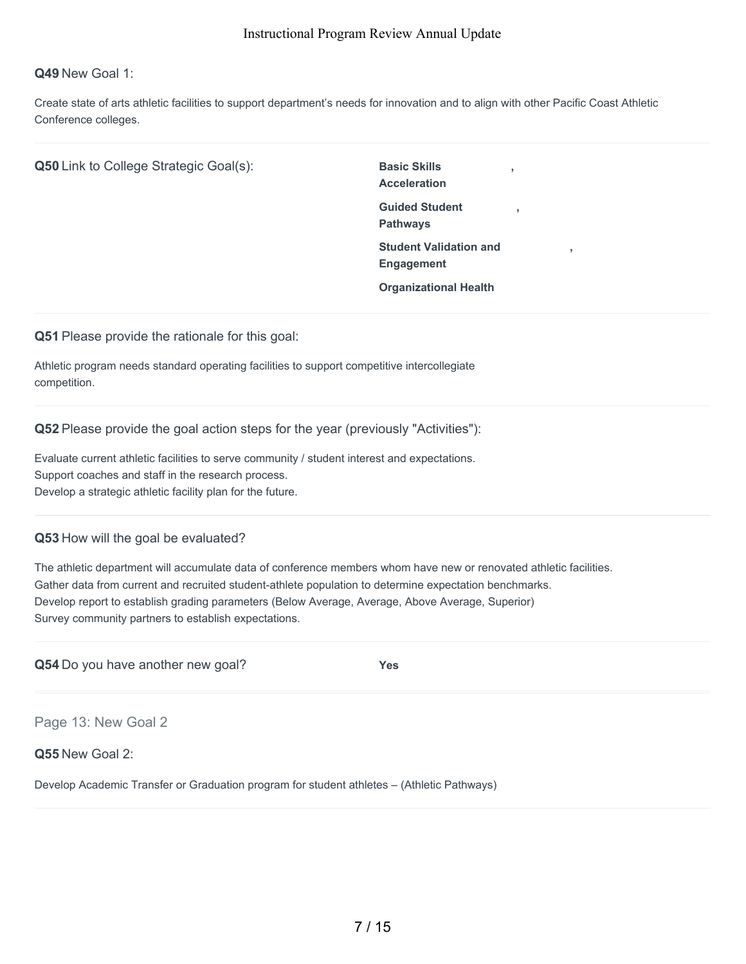# **Q49** New Goal 1:

Create state of arts athletic facilities to support department's needs for innovation and to align with other Pacific Coast Athletic Conference colleges.

**Q50** Link to College Strategic Goal(s): Basic Skills

**Acceleration Guided Student Pathways Student Validation and Engagement Organizational Health**

**,**

**,**

**,**

**Q51** Please provide the rationale for this goal:

Athletic program needs standard operating facilities to support competitive intercollegiate competition.

**Q52** Please provide the goal action steps for the year (previously "Activities"):

Evaluate current athletic facilities to serve community / student interest and expectations. Support coaches and staff in the research process. Develop a strategic athletic facility plan for the future.

## **Q53** How will the goal be evaluated?

The athletic department will accumulate data of conference members whom have new or renovated athletic facilities. Gather data from current and recruited student-athlete population to determine expectation benchmarks. Develop report to establish grading parameters (Below Average, Average, Above Average, Superior) Survey community partners to establish expectations.

| Q54 Do you have another new goal? | Yes |
|-----------------------------------|-----|
|                                   |     |

Page 13: New Goal 2

**Q55** New Goal 2:

Develop Academic Transfer or Graduation program for student athletes – (Athletic Pathways)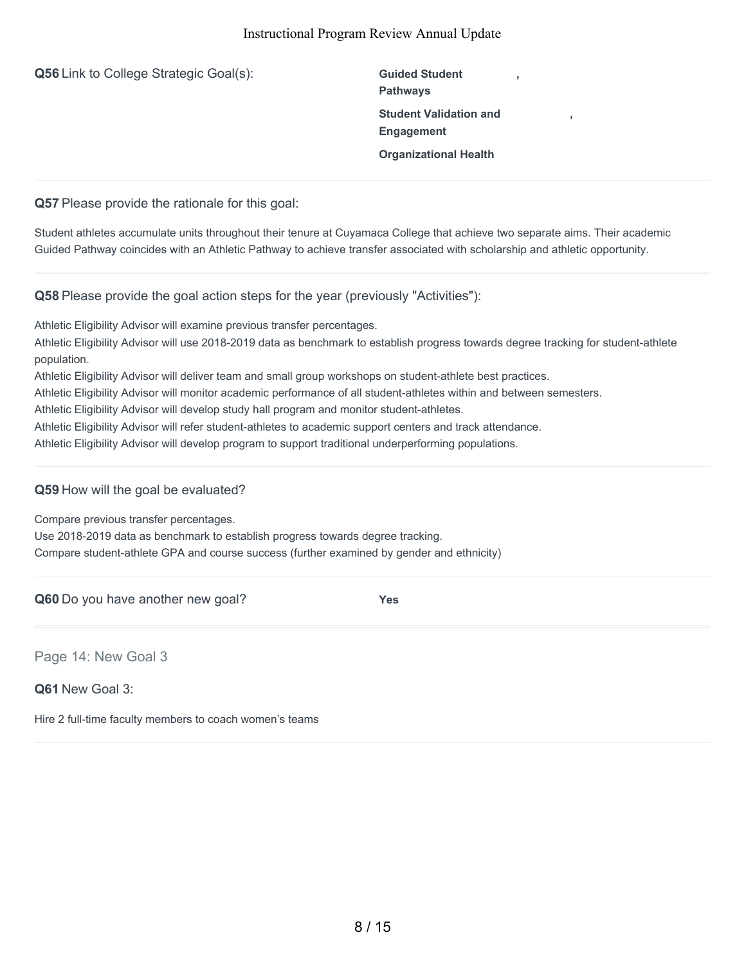| Q56 Link to College Strategic Goal(s): | <b>Guided Student</b><br><b>Pathways</b>           |  |
|----------------------------------------|----------------------------------------------------|--|
|                                        | <b>Student Validation and</b><br><b>Engagement</b> |  |
|                                        | <b>Organizational Health</b>                       |  |
|                                        |                                                    |  |

**Q57** Please provide the rationale for this goal:

Student athletes accumulate units throughout their tenure at Cuyamaca College that achieve two separate aims. Their academic Guided Pathway coincides with an Athletic Pathway to achieve transfer associated with scholarship and athletic opportunity.

**Q58** Please provide the goal action steps for the year (previously "Activities"):

Athletic Eligibility Advisor will examine previous transfer percentages.

Athletic Eligibility Advisor will use 2018-2019 data as benchmark to establish progress towards degree tracking for student-athlete population.

Athletic Eligibility Advisor will deliver team and small group workshops on student-athlete best practices.

Athletic Eligibility Advisor will monitor academic performance of all student-athletes within and between semesters.

Athletic Eligibility Advisor will develop study hall program and monitor student-athletes.

Athletic Eligibility Advisor will refer student-athletes to academic support centers and track attendance.

Athletic Eligibility Advisor will develop program to support traditional underperforming populations.

**Q59** How will the goal be evaluated?

Compare previous transfer percentages.

Use 2018-2019 data as benchmark to establish progress towards degree tracking. Compare student-athlete GPA and course success (further examined by gender and ethnicity)

**Q60** Do you have another new goal? **Yes**

Page 14: New Goal 3

**Q61** New Goal 3:

Hire 2 full-time faculty members to coach women's teams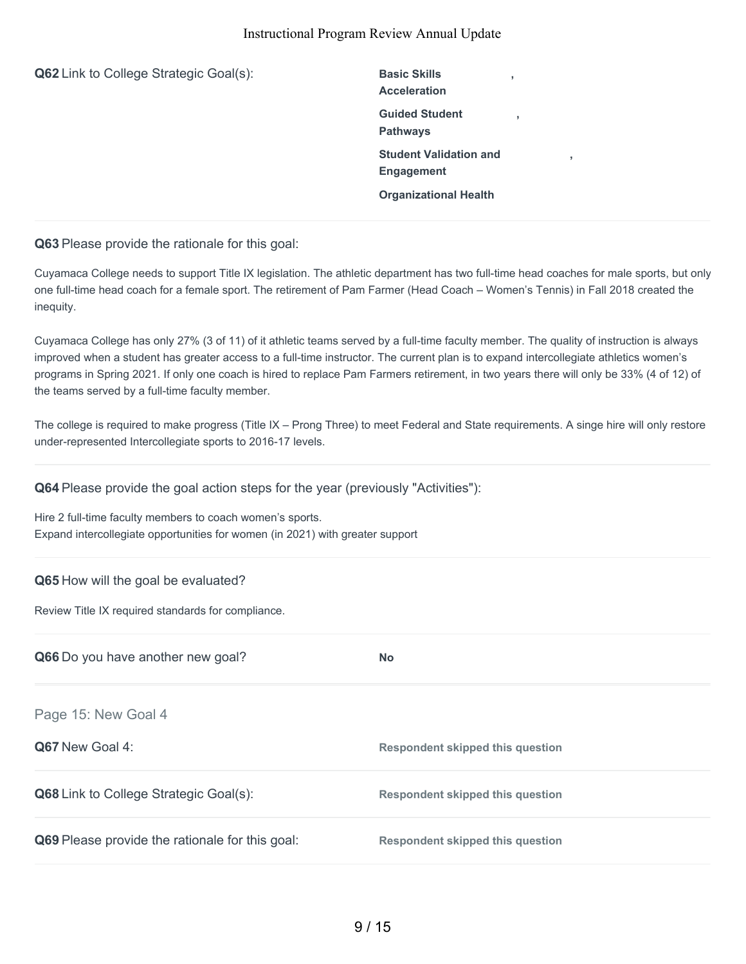**Q62** Link to College Strategic Goal(s): Basic Skills **Acceleration , Guided Student Pathways , Student Validation and Engagement , Organizational Health**

**Q63** Please provide the rationale for this goal:

Cuyamaca College needs to support Title IX legislation. The athletic department has two full-time head coaches for male sports, but only one full-time head coach for a female sport. The retirement of Pam Farmer (Head Coach – Women's Tennis) in Fall 2018 created the inequity.

Cuyamaca College has only 27% (3 of 11) of it athletic teams served by a full-time faculty member. The quality of instruction is always improved when a student has greater access to a full-time instructor. The current plan is to expand intercollegiate athletics women's programs in Spring 2021. If only one coach is hired to replace Pam Farmers retirement, in two years there will only be 33% (4 of 12) of the teams served by a full-time faculty member.

The college is required to make progress (Title IX – Prong Three) to meet Federal and State requirements. A singe hire will only restore under-represented Intercollegiate sports to 2016-17 levels.

**Q64** Please provide the goal action steps for the year (previously "Activities"):

Hire 2 full-time faculty members to coach women's sports. Expand intercollegiate opportunities for women (in 2021) with greater support

## **Q65** How will the goal be evaluated?

Review Title IX required standards for compliance.

| Q66 Do you have another new goal?                      | <b>No</b>                               |
|--------------------------------------------------------|-----------------------------------------|
| Page 15: New Goal 4                                    |                                         |
| <b>Q67</b> New Goal 4:                                 | <b>Respondent skipped this question</b> |
| <b>Q68</b> Link to College Strategic Goal(s):          | Respondent skipped this question        |
| <b>Q69</b> Please provide the rationale for this goal: | <b>Respondent skipped this question</b> |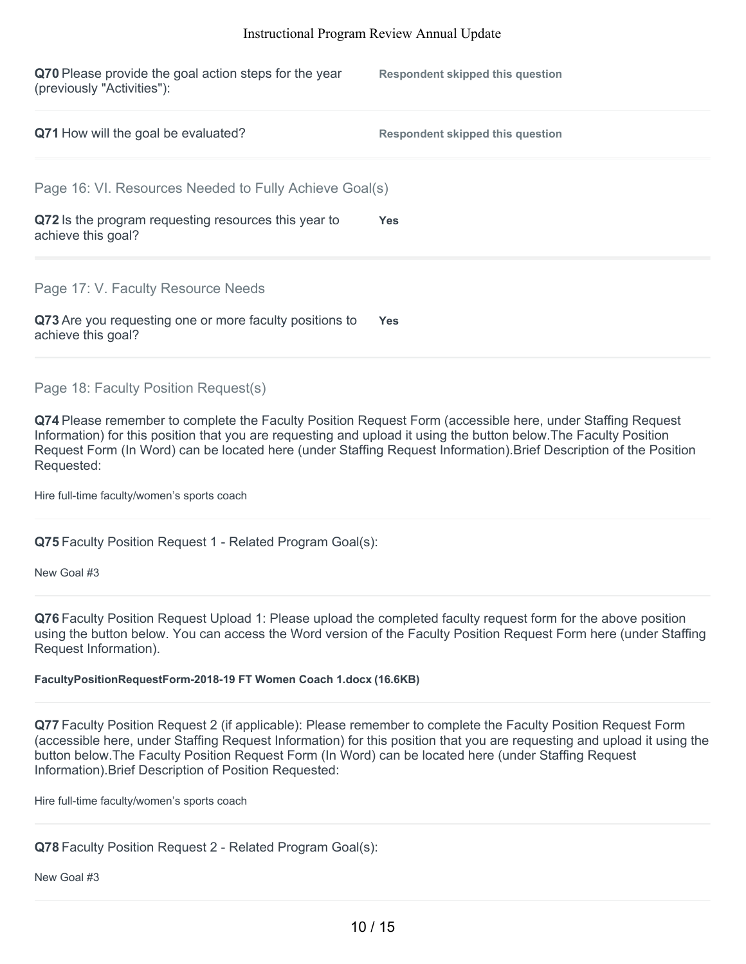| Q70 Please provide the goal action steps for the year<br>(previously "Activities"): | <b>Respondent skipped this question</b> |
|-------------------------------------------------------------------------------------|-----------------------------------------|
| Q71 How will the goal be evaluated?                                                 | <b>Respondent skipped this question</b> |
| Page 16: VI. Resources Needed to Fully Achieve Goal(s)                              |                                         |
| Q72 Is the program requesting resources this year to<br>achieve this goal?          | <b>Yes</b>                              |
| Page 17: V. Faculty Resource Needs                                                  |                                         |
| Q73 Are you requesting one or more faculty positions to<br>achieve this goal?       | <b>Yes</b>                              |

Page 18: Faculty Position Request(s)

**Q74** Please remember to complete the Faculty Position Request Form (accessible here, under Staffing Request Information) for this position that you are requesting and upload it using the button below.The Faculty Position Request Form (In Word) can be located here (under Staffing Request Information).Brief Description of the Position Requested:

Hire full-time faculty/women's sports coach

**Q75** Faculty Position Request 1 - Related Program Goal(s):

New Goal #3

**Q76** Faculty Position Request Upload 1: Please upload the completed faculty request form for the above position using the button below. You can access the Word version of the Faculty Position Request Form here (under Staffing Request Information).

# **FacultyPositionRequestForm-2018-19 FT Women Coach 1.docx (16.6KB)**

**Q77** Faculty Position Request 2 (if applicable): Please remember to complete the Faculty Position Request Form (accessible here, under Staffing Request Information) for this position that you are requesting and upload it using the button below.The Faculty Position Request Form (In Word) can be located here (under Staffing Request Information).Brief Description of Position Requested:

Hire full-time faculty/women's sports coach

**Q78** Faculty Position Request 2 - Related Program Goal(s):

New Goal #3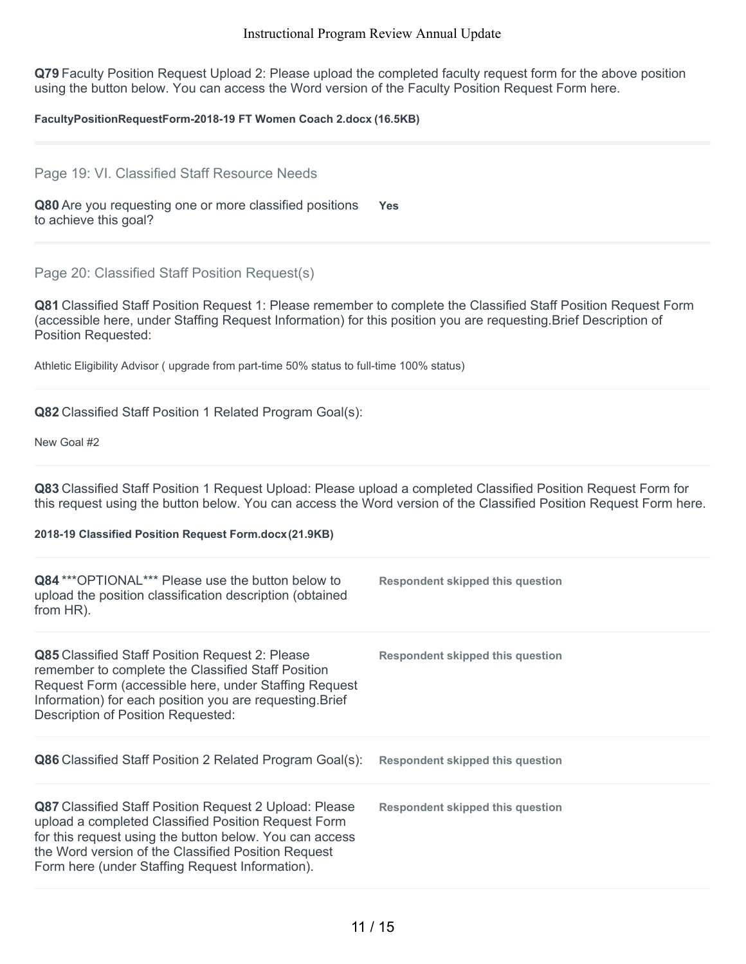**Q79** Faculty Position Request Upload 2: Please upload the completed faculty request form for the above position using the button below. You can access the Word version of the Faculty Position Request Form here.

#### **FacultyPositionRequestForm-2018-19 FT Women Coach 2.docx (16.5KB)**

#### Page 19: VI. Classified Staff Resource Needs

**Q80** Are you requesting one or more classified positions to achieve this goal? **Yes**

## Page 20: Classified Staff Position Request(s)

**Q81** Classified Staff Position Request 1: Please remember to complete the Classified Staff Position Request Form (accessible here, under Staffing Request Information) for this position you are requesting.Brief Description of Position Requested:

Athletic Eligibility Advisor ( upgrade from part-time 50% status to full-time 100% status)

#### **Q82** Classified Staff Position 1 Related Program Goal(s):

New Goal #2

**Q83** Classified Staff Position 1 Request Upload: Please upload a completed Classified Position Request Form for this request using the button below. You can access the Word version of the Classified Position Request Form here.

#### **2018-19 Classified Position Request Form.docx(21.9KB)**

| <b>Q84</b> *** OPTIONAL *** Please use the button below to<br>upload the position classification description (obtained<br>from HR).                                                                                                                                                       | <b>Respondent skipped this question</b> |
|-------------------------------------------------------------------------------------------------------------------------------------------------------------------------------------------------------------------------------------------------------------------------------------------|-----------------------------------------|
| <b>Q85</b> Classified Staff Position Request 2: Please<br>remember to complete the Classified Staff Position<br>Request Form (accessible here, under Staffing Request<br>Information) for each position you are requesting. Brief<br>Description of Position Requested:                   | <b>Respondent skipped this question</b> |
| <b>Q86</b> Classified Staff Position 2 Related Program Goal(s):                                                                                                                                                                                                                           | Respondent skipped this question        |
| <b>Q87</b> Classified Staff Position Request 2 Upload: Please<br>upload a completed Classified Position Request Form<br>for this request using the button below. You can access<br>the Word version of the Classified Position Request<br>Form here (under Staffing Request Information). | Respondent skipped this question        |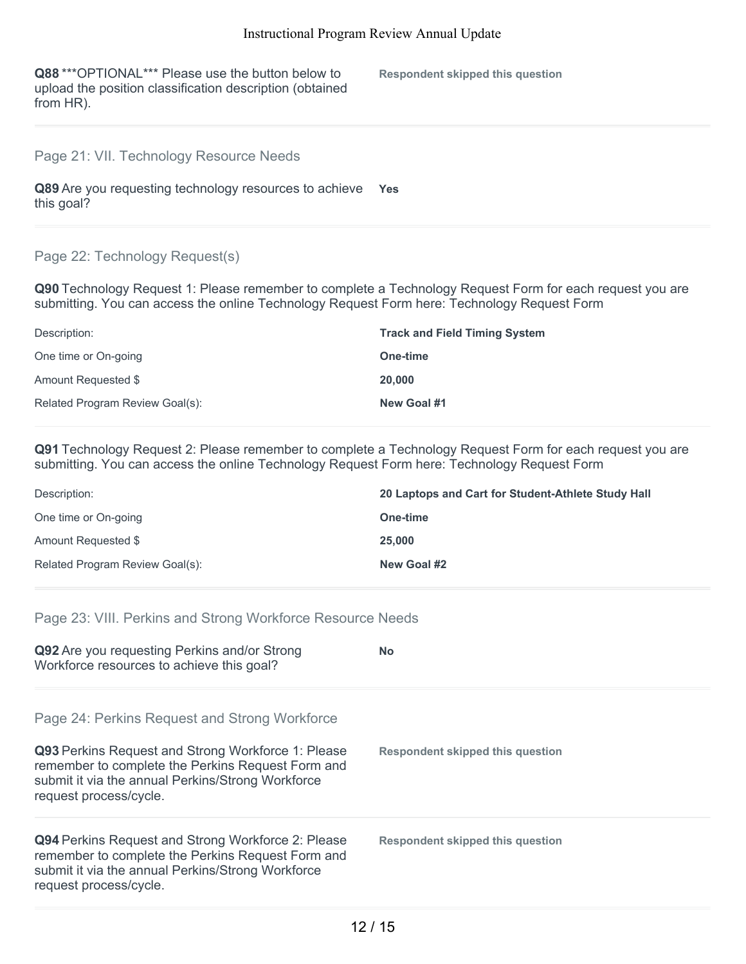**Q88** \*\*\*OPTIONAL\*\*\* Please use the button below to upload the position classification description (obtained from HR).

**Respondent skipped this question**

# Page 21: VII. Technology Resource Needs

**Q89** Are you requesting technology resources to achieve **Yes** this goal?

# Page 22: Technology Request(s)

**Q90** Technology Request 1: Please remember to complete a Technology Request Form for each request you are submitting. You can access the online Technology Request Form here: Technology Request Form

| Description:                    | <b>Track and Field Timing System</b> |
|---------------------------------|--------------------------------------|
| One time or On-going            | One-time                             |
| Amount Requested \$             | 20,000                               |
| Related Program Review Goal(s): | New Goal #1                          |

**Q91** Technology Request 2: Please remember to complete a Technology Request Form for each request you are submitting. You can access the online Technology Request Form here: Technology Request Form

| Description:                    | 20 Laptops and Cart for Student-Athlete Study Hall |
|---------------------------------|----------------------------------------------------|
| One time or On-going            | One-time                                           |
| Amount Requested \$             | 25,000                                             |
| Related Program Review Goal(s): | New Goal #2                                        |

# Page 23: VIII. Perkins and Strong Workforce Resource Needs

| Q92 Are you requesting Perkins and/or Strong<br>Workforce resources to achieve this goal?                                                                                                                                               | <b>No</b>                        |
|-----------------------------------------------------------------------------------------------------------------------------------------------------------------------------------------------------------------------------------------|----------------------------------|
| Page 24: Perkins Request and Strong Workforce<br>Q93 Perkins Request and Strong Workforce 1: Please<br>remember to complete the Perkins Request Form and<br>submit it via the annual Perkins/Strong Workforce<br>request process/cycle. | Respondent skipped this question |
| <b>Q94</b> Perkins Request and Strong Workforce 2: Please<br>remember to complete the Perkins Request Form and<br>submit it via the annual Perkins/Strong Workforce<br>request process/cycle.                                           | Respondent skipped this question |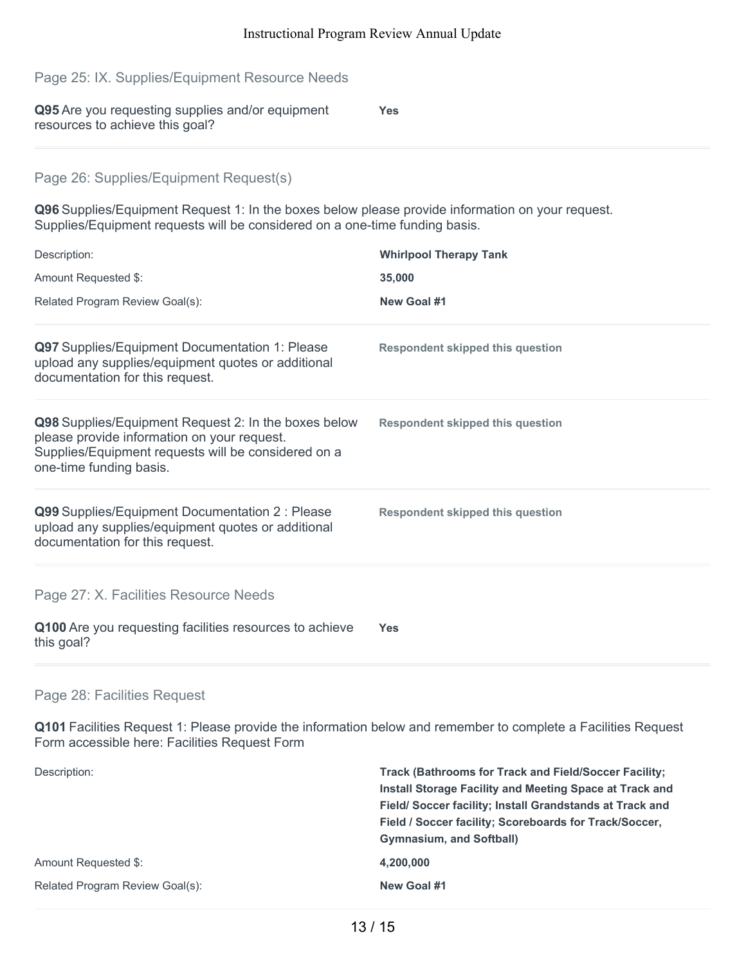| Page 25: IX. Supplies/Equipment Resource Needs                                                                                                                                        |                                         |
|---------------------------------------------------------------------------------------------------------------------------------------------------------------------------------------|-----------------------------------------|
| Q95 Are you requesting supplies and/or equipment<br>resources to achieve this goal?                                                                                                   | <b>Yes</b>                              |
| Page 26: Supplies/Equipment Request(s)                                                                                                                                                |                                         |
|                                                                                                                                                                                       |                                         |
| Q96 Supplies/Equipment Request 1: In the boxes below please provide information on your request.<br>Supplies/Equipment requests will be considered on a one-time funding basis.       |                                         |
| Description:                                                                                                                                                                          | <b>Whirlpool Therapy Tank</b>           |
| Amount Requested \$:                                                                                                                                                                  | 35,000                                  |
| Related Program Review Goal(s):                                                                                                                                                       | New Goal #1                             |
| Q97 Supplies/Equipment Documentation 1: Please<br>upload any supplies/equipment quotes or additional<br>documentation for this request.                                               | <b>Respondent skipped this question</b> |
| Q98 Supplies/Equipment Request 2: In the boxes below<br>please provide information on your request.<br>Supplies/Equipment requests will be considered on a<br>one-time funding basis. | <b>Respondent skipped this question</b> |
| Q99 Supplies/Equipment Documentation 2 : Please<br>upload any supplies/equipment quotes or additional<br>documentation for this request.                                              | <b>Respondent skipped this question</b> |
| Page 27: X. Facilities Resource Needs                                                                                                                                                 |                                         |
| Q100 Are you requesting facilities resources to achieve<br>this goal?                                                                                                                 | <b>Yes</b>                              |

# Page 28: Facilities Request

**Q101** Facilities Request 1: Please provide the information below and remember to complete a Facilities Request Form accessible here: Facilities Request Form

| Description:                    | <b>Track (Bathrooms for Track and Field/Soccer Facility:</b>   |
|---------------------------------|----------------------------------------------------------------|
|                                 | <b>Install Storage Facility and Meeting Space at Track and</b> |
|                                 | Field/Soccer facility; Install Grandstands at Track and        |
|                                 | Field / Soccer facility; Scoreboards for Track/Soccer,         |
|                                 | <b>Gymnasium, and Softball)</b>                                |
| Amount Requested \$:            | 4,200,000                                                      |
| Related Program Review Goal(s): | New Goal #1                                                    |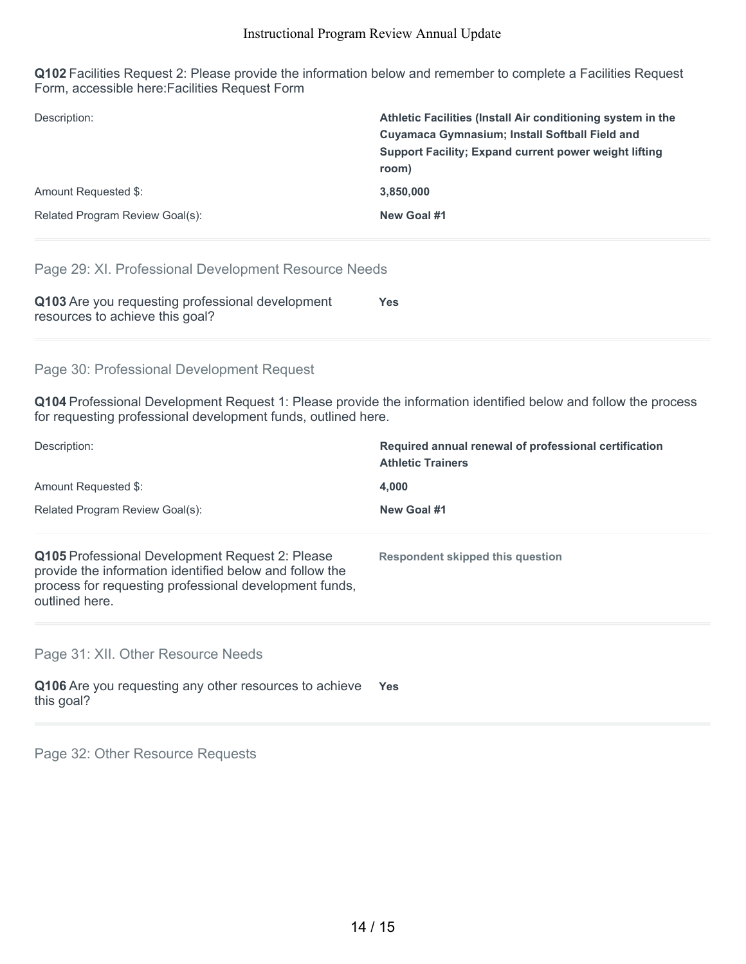**Q102** Facilities Request 2: Please provide the information below and remember to complete a Facilities Request Form, accessible here:Facilities Request Form

| Description:                    | Athletic Facilities (Install Air conditioning system in the           |
|---------------------------------|-----------------------------------------------------------------------|
|                                 | <b>Cuyamaca Gymnasium; Install Softball Field and</b>                 |
|                                 | <b>Support Facility: Expand current power weight lifting</b><br>room) |
| Amount Requested \$:            | 3.850.000                                                             |
| Related Program Review Goal(s): | New Goal #1                                                           |

# Page 29: XI. Professional Development Resource Needs

| Q103 Are you requesting professional development | <b>Yes</b> |
|--------------------------------------------------|------------|
| resources to achieve this goal?                  |            |

# Page 30: Professional Development Request

**Q104** Professional Development Request 1: Please provide the information identified below and follow the process for requesting professional development funds, outlined here.

| Description:                                                                                                                                                                           | Required annual renewal of professional certification<br><b>Athletic Trainers</b> |  |
|----------------------------------------------------------------------------------------------------------------------------------------------------------------------------------------|-----------------------------------------------------------------------------------|--|
| Amount Requested \$:                                                                                                                                                                   | 4,000                                                                             |  |
| Related Program Review Goal(s):                                                                                                                                                        | New Goal #1                                                                       |  |
| Q105 Professional Development Request 2: Please<br>provide the information identified below and follow the<br>process for requesting professional development funds,<br>outlined here. | Respondent skipped this question                                                  |  |
| Page 31: XII. Other Resource Needs                                                                                                                                                     |                                                                                   |  |
| Q106 Are you requesting any other resources to achieve<br>this goal?                                                                                                                   | Yes.                                                                              |  |
|                                                                                                                                                                                        |                                                                                   |  |

Page 32: Other Resource Requests